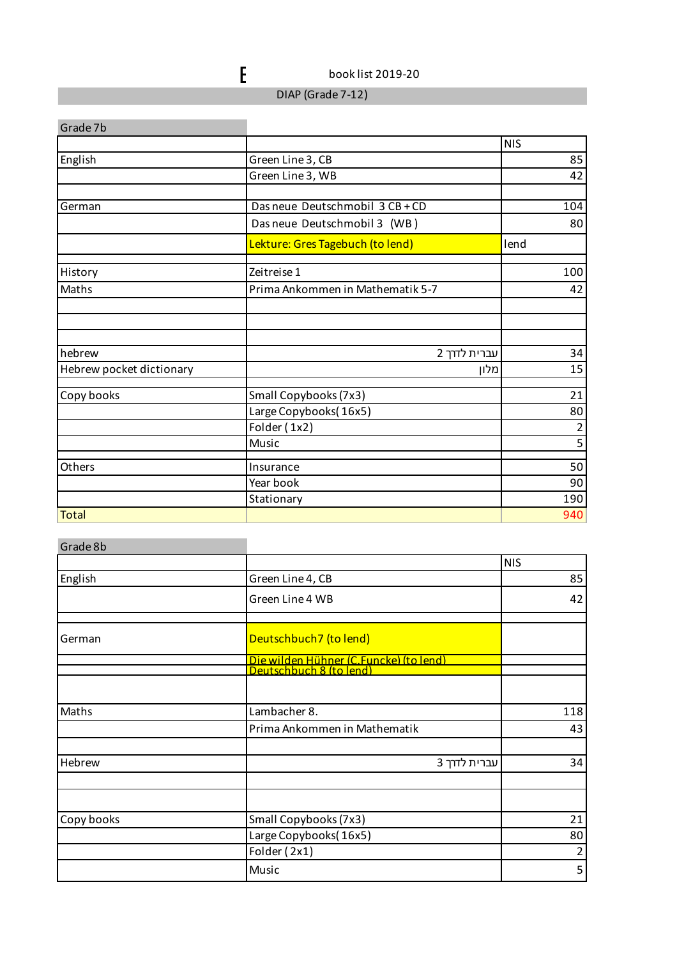$\epsilon$  book list 2019-20

DIAP (Grade 7-12)

| Grade 7b                 |                                  |                |
|--------------------------|----------------------------------|----------------|
|                          |                                  | <b>NIS</b>     |
| English                  | Green Line 3, CB                 | 85             |
|                          | Green Line 3, WB                 | 42             |
| German                   | Das neue Deutschmobil 3 CB + CD  | 104            |
|                          | Das neue Deutschmobil 3 (WB)     | 80             |
|                          | Lekture: Gres Tagebuch (to lend) | lend           |
| History                  | Zeitreise 1                      | 100            |
| Maths                    | Prima Ankommen in Mathematik 5-7 | 42             |
|                          |                                  |                |
|                          |                                  |                |
| hebrew                   | עברית לדרך 2                     | 34             |
| Hebrew pocket dictionary | מלון                             | 15             |
| Copy books               | Small Copybooks (7x3)            | 21             |
|                          | Large Copybooks(16x5)            | 80             |
|                          | Folder (1x2)                     | $\overline{c}$ |
|                          | Music                            | $\overline{5}$ |
| Others                   | Insurance                        | 50             |
|                          | Year book                        | 90             |
|                          | Stationary                       | 190            |
| <b>Total</b>             |                                  | 940            |

|                              | <b>NIS</b>                                                                                     |
|------------------------------|------------------------------------------------------------------------------------------------|
| Green Line 4, CB             | 85                                                                                             |
| Green Line 4 WB              | 42                                                                                             |
| Deutschbuch7 (to lend)       |                                                                                                |
|                              |                                                                                                |
|                              | 118                                                                                            |
| Prima Ankommen in Mathematik | 43                                                                                             |
| עברית לדרך 3                 | 34                                                                                             |
|                              |                                                                                                |
| Small Copybooks (7x3)        | 21                                                                                             |
| Large Copybooks(16x5)        | 80                                                                                             |
| Folder (2x1)                 | $\overline{2}$                                                                                 |
| Music                        | 5                                                                                              |
|                              | <mark>Die wilden Hühner (C.Funcke) (to lend)</mark><br>Deutschbuch 8 (to lend)<br>Lambacher 8. |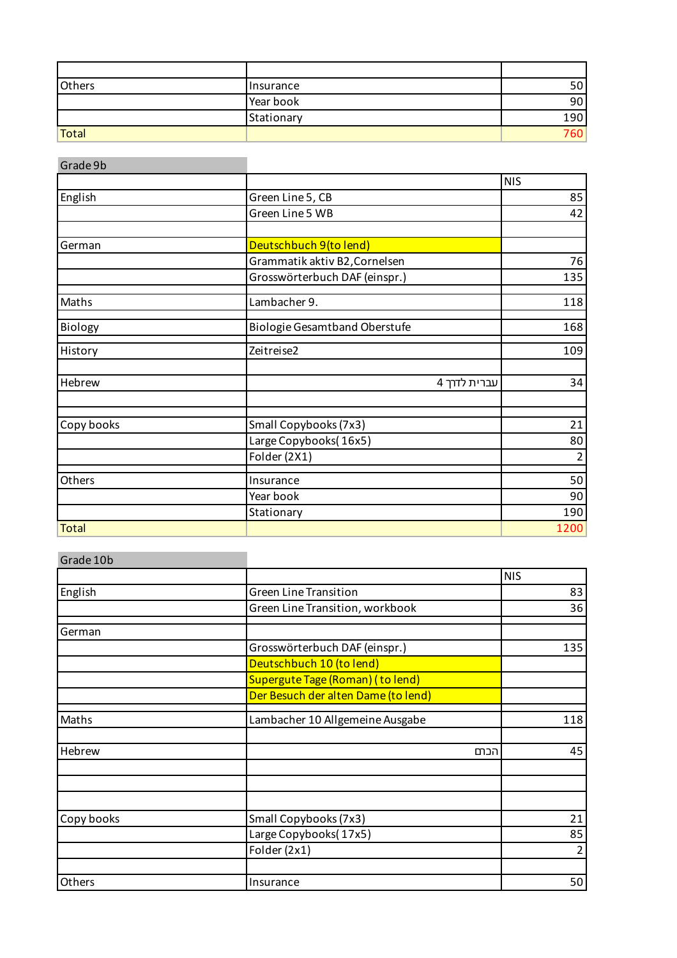| Others | Insurance  | эu  |
|--------|------------|-----|
|        | Year book  | 90  |
|        | Stationary | 190 |
| Total  |            | 760 |

÷

| Grade 9b     |                                      |                |
|--------------|--------------------------------------|----------------|
|              |                                      | <b>NIS</b>     |
| English      | Green Line 5, CB                     | 85             |
|              | Green Line 5 WB                      | 42             |
|              |                                      |                |
| German       | Deutschbuch 9(to lend)               |                |
|              | Grammatik aktiv B2, Cornelsen        | 76             |
|              | Grosswörterbuch DAF (einspr.)        | 135            |
| Maths        | Lambacher 9.                         | 118            |
| Biology      | <b>Biologie Gesamtband Oberstufe</b> | 168            |
| History      | Zeitreise2                           | 109            |
| Hebrew       | עברית לדרך 4                         | 34             |
|              |                                      |                |
| Copy books   | Small Copybooks (7x3)                | 21             |
|              | Large Copybooks(16x5)                | 80             |
|              | Folder (2X1)                         | $\overline{2}$ |
| Others       | Insurance                            | 50             |
|              | Year book                            | 90             |
|              | Stationary                           | 190            |
| <b>Total</b> |                                      | 1200           |

| Grade 10b  |                                     |                |
|------------|-------------------------------------|----------------|
|            |                                     | <b>NIS</b>     |
| English    | <b>Green Line Transition</b>        | 83             |
|            | Green Line Transition, workbook     | 36             |
| German     |                                     |                |
|            | Grosswörterbuch DAF (einspr.)       | 135            |
|            | Deutschbuch 10 (to lend)            |                |
|            | Supergute Tage (Roman) (to lend)    |                |
|            | Der Besuch der alten Dame (to lend) |                |
| Maths      | Lambacher 10 Allgemeine Ausgabe     | 118            |
| Hebrew     | הכתם                                | 45             |
|            |                                     |                |
| Copy books | Small Copybooks (7x3)               | 21             |
|            | Large Copybooks(17x5)               | 85             |
|            | Folder (2x1)                        | $\overline{2}$ |
| Others     | Insurance                           | 50             |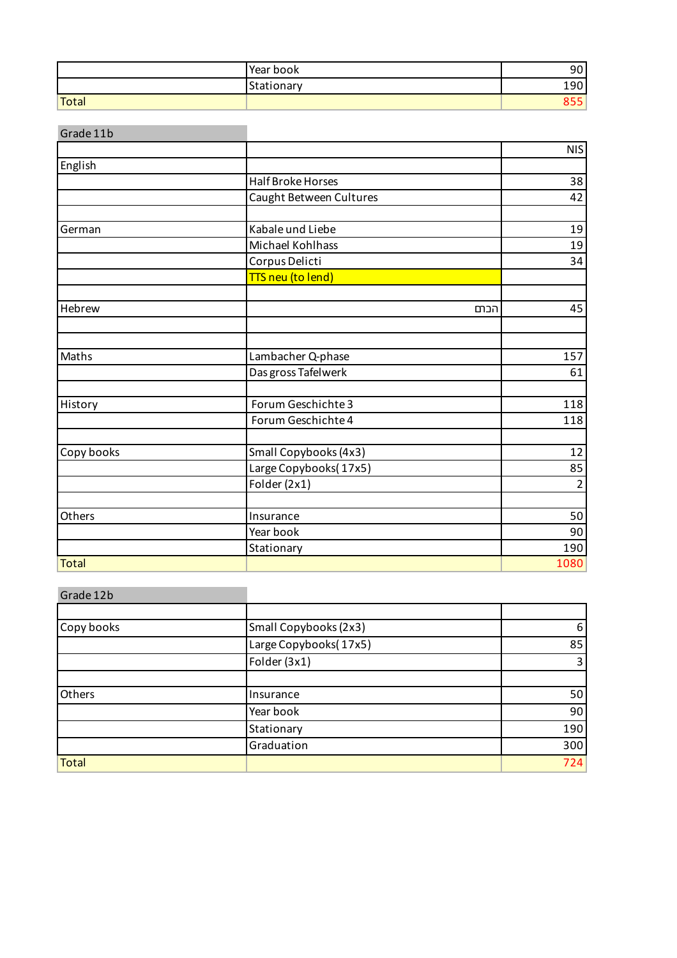|       | Year book  | 9         |
|-------|------------|-----------|
|       | Stationary | ۹n<br>ᅩJU |
| Total |            |           |

| Grade 11b    |                          |      |                |
|--------------|--------------------------|------|----------------|
|              |                          |      | <b>NIS</b>     |
| English      |                          |      |                |
|              | <b>Half Broke Horses</b> |      | 38             |
|              | Caught Between Cultures  |      | 42             |
|              |                          |      |                |
| German       | Kabale und Liebe         |      | 19             |
|              | Michael Kohlhass         |      | 19             |
|              | Corpus Delicti           |      | 34             |
|              | TTS neu (to lend)        |      |                |
|              |                          |      |                |
| Hebrew       |                          | הכתם | 45             |
|              |                          |      |                |
| Maths        | Lambacher Q-phase        |      | 157            |
|              | Das gross Tafelwerk      |      | 61             |
|              |                          |      |                |
| History      | Forum Geschichte 3       |      | 118            |
|              | Forum Geschichte 4       |      | 118            |
| Copy books   | Small Copybooks (4x3)    |      | 12             |
|              | Large Copybooks(17x5)    |      | 85             |
|              | Folder (2x1)             |      | $\overline{2}$ |
|              |                          |      |                |
| Others       | Insurance                |      | 50             |
|              | Year book                |      | 90             |
|              | Stationary               |      | 190            |
| <b>Total</b> |                          |      | 1080           |

## Grade 12b Copy books Small Copybooks (2x3) 6 Large Copybooks(17x5) 85 Folder (3x1) 3 Others **Insurance** 50 **Year book** 90 Stationary 190 Graduation 300 Total 2014 - Total 2014 - Total 2014 - Total 2014 - Total 2014 - Total 2014 - Total 2014 - Total 2014 - Total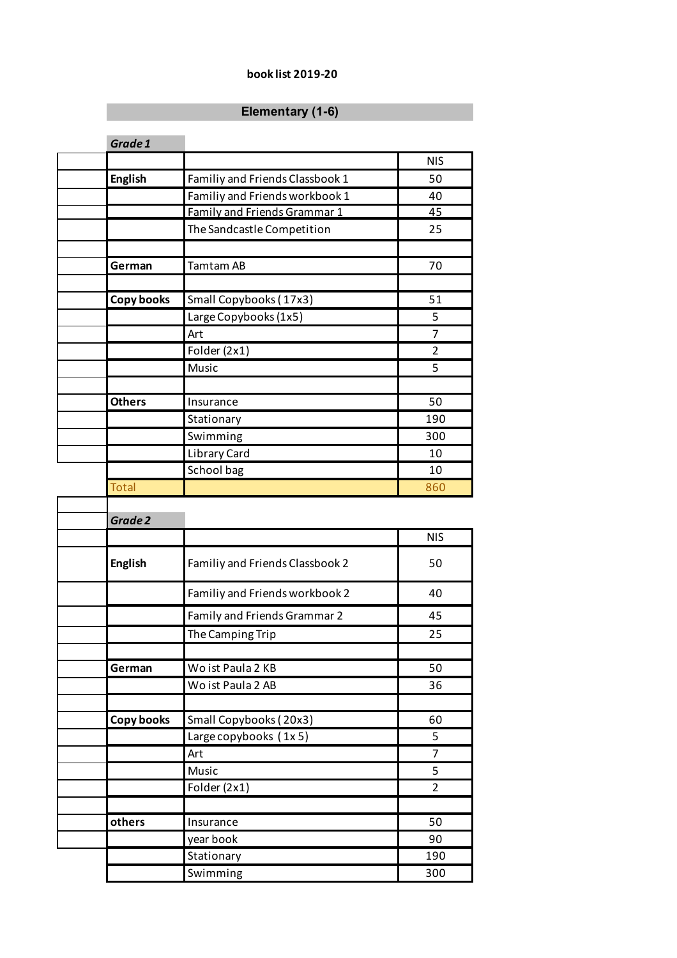## Book List 2015/16 **book list 2019-20**

## **Elementary (1-6)**

| Grade 1           |                                 |                |
|-------------------|---------------------------------|----------------|
|                   |                                 | <b>NIS</b>     |
| <b>English</b>    | Familiy and Friends Classbook 1 | 50             |
|                   | Familiy and Friends workbook 1  | 40             |
|                   | Family and Friends Grammar 1    | 45             |
|                   | The Sandcastle Competition      | 25             |
|                   |                                 |                |
| German            | <b>Tamtam AB</b>                | 70             |
|                   |                                 |                |
| <b>Copy books</b> | Small Copybooks (17x3)          | 51             |
|                   | Large Copybooks (1x5)           | 5              |
|                   | Art                             | 7              |
|                   | Folder (2x1)                    | $\overline{2}$ |
|                   | Music                           | 5              |
|                   |                                 |                |
| <b>Others</b>     | Insurance                       | 50             |
|                   | Stationary                      | 190            |
|                   | Swimming                        | 300            |
|                   | Library Card                    | 10             |
|                   | School bag                      | 10             |
| <b>Total</b>      |                                 | 860            |
| Grade 2           |                                 |                |
|                   |                                 | <b>NIS</b>     |
| <b>English</b>    | Familiy and Friends Classbook 2 | 50             |
|                   | Familiy and Friends workbook 2  | 40             |
|                   | Family and Friends Grammar 2    | 45             |
|                   | The Camping Trip                | 25             |
|                   |                                 |                |
| German            | Wo ist Paula 2 KB               | 50             |
|                   | Wo ist Paula 2 AB               | 36             |
|                   |                                 |                |
| <b>Copy books</b> | Small Copybooks (20x3)          | 60             |
|                   | Large copybooks (1x5)           | 5              |
|                   | Art                             | $\overline{7}$ |
|                   | Music                           | 5              |
|                   | Folder (2x1)                    | $\overline{2}$ |
|                   |                                 |                |
| others            | Insurance                       | 50             |
|                   | year book                       | 90             |
|                   | Stationary                      | 190            |
|                   | Swimming                        | 300            |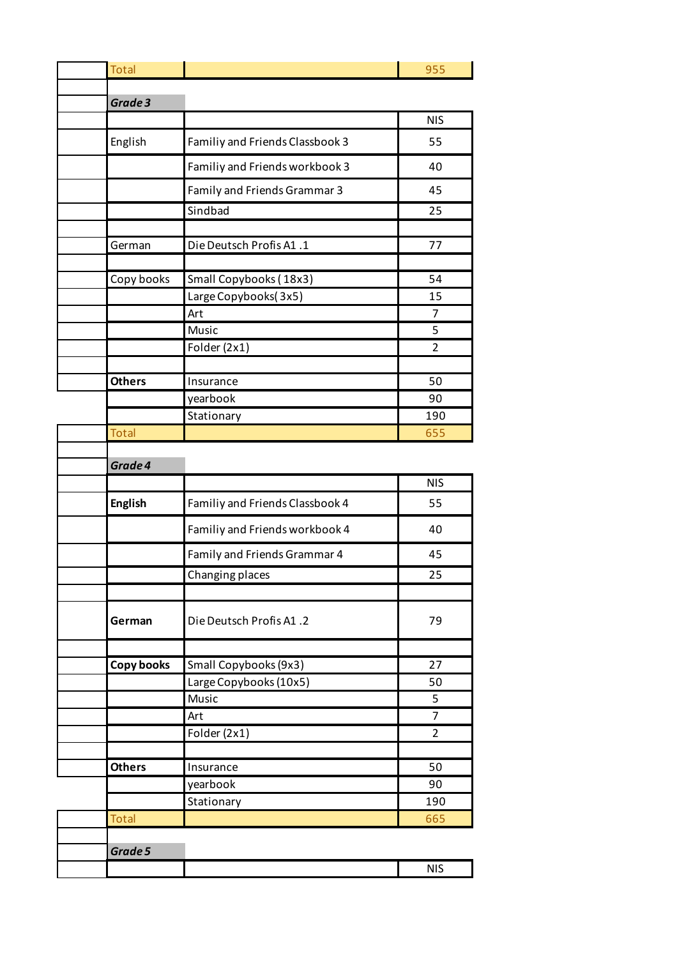| <b>Total</b>      |                                 | 955            |
|-------------------|---------------------------------|----------------|
| Grade 3           |                                 |                |
|                   |                                 | <b>NIS</b>     |
| English           | Familiy and Friends Classbook 3 | 55             |
|                   | Familiy and Friends workbook 3  | 40             |
|                   | Family and Friends Grammar 3    | 45             |
|                   | Sindbad                         | 25             |
|                   |                                 |                |
| German            | Die Deutsch Profis A1.1         | 77             |
|                   |                                 |                |
| Copy books        | Small Copybooks (18x3)          | 54             |
|                   | Large Copybooks(3x5)            | 15             |
|                   | Art                             | 7              |
|                   | Music                           | 5              |
|                   | Folder (2x1)                    | $\overline{2}$ |
| <b>Others</b>     | Insurance                       | 50             |
|                   | yearbook                        | 90             |
|                   | Stationary                      | 190            |
| <b>Total</b>      |                                 | 655            |
|                   |                                 |                |
| Grade 4           |                                 | <b>NIS</b>     |
|                   |                                 |                |
| <b>English</b>    | Familiy and Friends Classbook 4 | 55             |
|                   | Familiy and Friends workbook 4  | 40             |
|                   | Family and Friends Grammar 4    | 45             |
|                   | Changing places                 | 25             |
|                   |                                 |                |
| German            | Die Deutsch Profis A1.2         | 79             |
|                   |                                 |                |
| <b>Copy books</b> | Small Copybooks (9x3)           | 27             |
|                   | Large Copybooks (10x5)          | 50             |
|                   | Music                           | 5              |
|                   | Art                             | $\overline{7}$ |
|                   | Folder (2x1)                    | $\overline{2}$ |
| <b>Others</b>     | Insurance                       | 50             |
|                   | yearbook                        | 90             |
|                   | Stationary                      | 190            |
| <b>Total</b>      |                                 | 665            |
|                   |                                 |                |
| Grade 5           |                                 |                |
|                   |                                 | <b>NIS</b>     |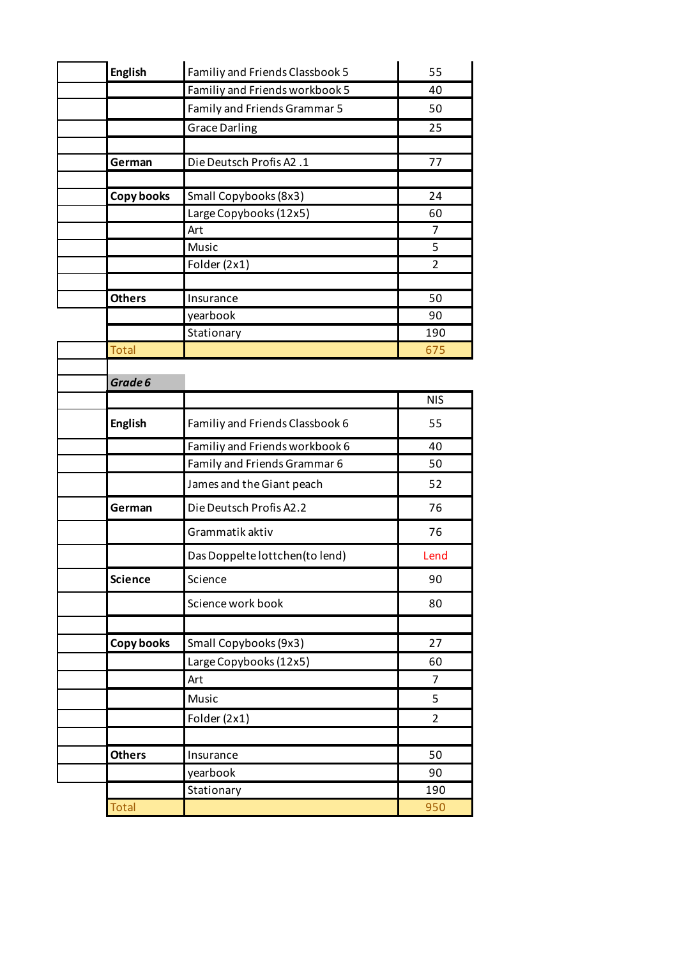| <b>English</b> |                   | Familiy and Friends Classbook 5 | 55             |
|----------------|-------------------|---------------------------------|----------------|
|                |                   | Familiy and Friends workbook 5  | 40             |
|                |                   | Family and Friends Grammar 5    | 50             |
|                |                   | <b>Grace Darling</b>            | 25             |
|                |                   |                                 |                |
|                | German            | Die Deutsch Profis A2.1         | 77             |
|                |                   |                                 |                |
|                | <b>Copy books</b> | Small Copybooks (8x3)           | 24             |
|                |                   | Large Copybooks (12x5)<br>Art   | 60<br>7        |
|                |                   | Music                           | 5              |
|                |                   | Folder (2x1)                    | $\overline{2}$ |
|                |                   |                                 |                |
| <b>Others</b>  |                   | Insurance                       | 50             |
|                |                   | yearbook                        | 90             |
|                |                   | Stationary                      | 190            |
| <b>Total</b>   |                   |                                 | 675            |
| Grade 6        |                   |                                 |                |
|                |                   |                                 | <b>NIS</b>     |
| <b>English</b> |                   | Familiy and Friends Classbook 6 | 55             |
|                |                   | Familiy and Friends workbook 6  | 40             |
|                |                   | Family and Friends Grammar 6    | 50             |
|                |                   | James and the Giant peach       | 52             |
|                | German            | Die Deutsch Profis A2.2         | 76             |
|                |                   | Grammatik aktiv                 | 76             |
|                |                   | Das Doppelte lottchen (to lend) | Lend           |
| <b>Science</b> |                   | Science                         | 90             |
|                |                   | Science work book               | 80             |
|                |                   |                                 |                |
|                | Copy books        | Small Copybooks (9x3)           | 27             |
|                |                   | Large Copybooks (12x5)          | 60             |
|                |                   | Art                             | 7              |
|                |                   | Music                           | 5              |
|                |                   | Folder (2x1)                    | $\overline{2}$ |
|                |                   |                                 |                |
| <b>Others</b>  |                   | Insurance                       | 50             |
|                |                   | yearbook                        | 90             |
|                |                   | Stationary                      | 190            |
| Total          |                   |                                 | 950            |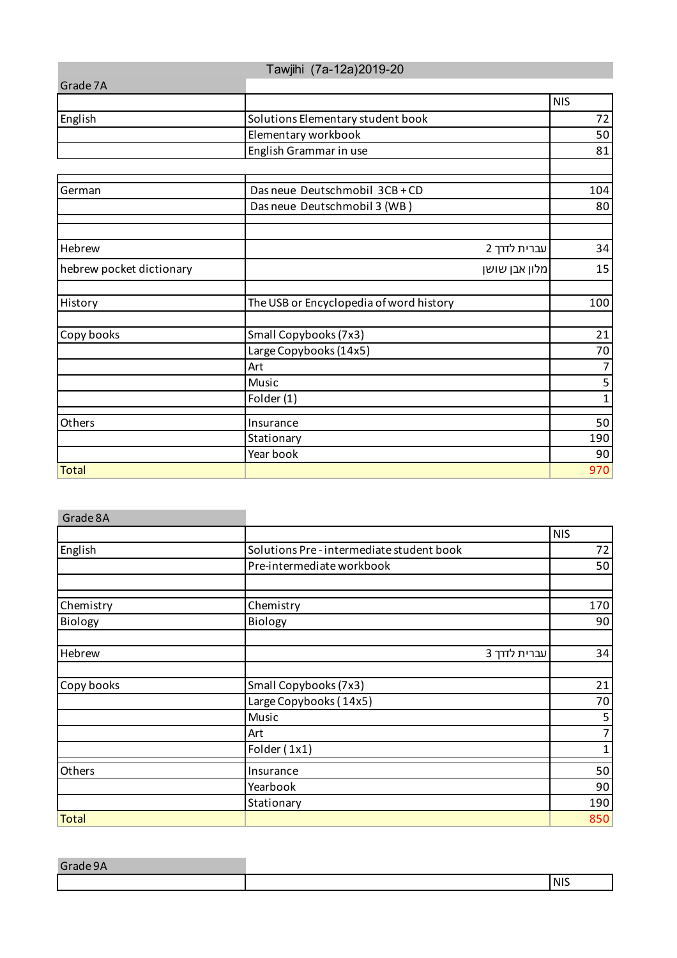|                          | Tawjihi (7a-12a) 2019-20                |                |
|--------------------------|-----------------------------------------|----------------|
| Grade 7A                 |                                         |                |
|                          |                                         | <b>NIS</b>     |
| English                  | Solutions Elementary student book       | 72             |
|                          | Elementary workbook                     | 50             |
|                          | English Grammar in use                  | 81             |
|                          |                                         |                |
| German                   | Das neue Deutschmobil 3CB + CD          | 104            |
|                          | Das neue Deutschmobil 3 (WB)            | 80             |
|                          |                                         |                |
| Hebrew                   | עברית לדרך 2                            | 34             |
| hebrew pocket dictionary | מלון אבן שושן                           | 15             |
|                          |                                         |                |
| History                  | The USB or Encyclopedia of word history | 100            |
|                          |                                         |                |
| Copy books               | Small Copybooks (7x3)                   | 21             |
|                          | Large Copybooks (14x5)                  | 70             |
|                          | Art                                     | $\overline{7}$ |
|                          | Music                                   | 5              |
|                          | Folder (1)                              | $\mathbf{1}$   |
| Others                   | Insurance                               | 50             |
|                          | Stationary                              | 190            |
|                          | Year book                               | 90             |
| <b>Total</b>             |                                         | 970            |

| Grade 8A     |                                         |            |
|--------------|-----------------------------------------|------------|
|              |                                         | <b>NIS</b> |
| English      | Solutions Pre-intermediate student book | 72         |
|              | Pre-intermediate workbook               | 50         |
|              |                                         |            |
| Chemistry    | Chemistry                               | 170        |
| Biology      | Biology                                 | 90         |
| Hebrew       | עברית לדרך 3                            | 34         |
| Copy books   | Small Copybooks (7x3)                   | 21         |
|              | Large Copybooks (14x5)                  | 70         |
|              | Music                                   | 5          |
|              | Art                                     | 7          |
|              | Folder (1x1)                            | 1          |
| Others       | Insurance                               | 50         |
|              | Yearbook                                | 90         |
|              | Stationary                              | 190        |
| <b>Total</b> |                                         | 850        |

| Gr2 |            |
|-----|------------|
|     | <b>NIS</b> |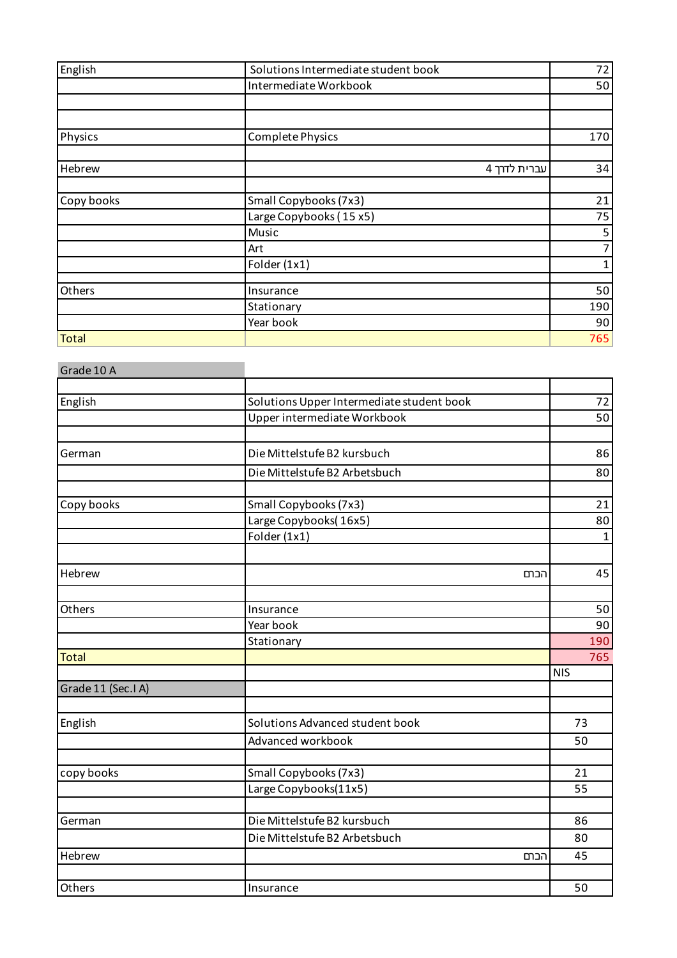| English      | Solutions Intermediate student book | 72  |
|--------------|-------------------------------------|-----|
|              | Intermediate Workbook               | 50  |
|              |                                     |     |
|              |                                     |     |
| Physics      | <b>Complete Physics</b>             | 170 |
|              |                                     |     |
| Hebrew       | עברית לדרך 4                        | 34  |
| Copy books   | Small Copybooks (7x3)               | 21  |
|              | Large Copybooks (15 x5)             | 75  |
|              | Music                               | 5   |
|              | Art                                 | 7   |
|              | Folder (1x1)                        | 1   |
| Others       | Insurance                           | 50  |
|              | Stationary                          | 190 |
|              | Year book                           | 90  |
| <b>Total</b> |                                     | 765 |

| Solutions Upper Intermediate student book | 72                                                                                                                                                                             |
|-------------------------------------------|--------------------------------------------------------------------------------------------------------------------------------------------------------------------------------|
|                                           | 50                                                                                                                                                                             |
|                                           |                                                                                                                                                                                |
| Die Mittelstufe B2 kursbuch               | 86                                                                                                                                                                             |
| Die Mittelstufe B2 Arbetsbuch             | 80                                                                                                                                                                             |
|                                           | 21                                                                                                                                                                             |
|                                           | 80                                                                                                                                                                             |
| Folder (1x1)                              | $\mathbf{1}$                                                                                                                                                                   |
|                                           |                                                                                                                                                                                |
| הכתם                                      | 45                                                                                                                                                                             |
| Insurance                                 | 50                                                                                                                                                                             |
| Year book                                 | 90                                                                                                                                                                             |
| Stationary                                | 190                                                                                                                                                                            |
|                                           | 765                                                                                                                                                                            |
|                                           | <b>NIS</b>                                                                                                                                                                     |
|                                           |                                                                                                                                                                                |
| Solutions Advanced student book           | 73                                                                                                                                                                             |
| Advanced workbook                         | 50                                                                                                                                                                             |
|                                           | 21                                                                                                                                                                             |
| Large Copybooks(11x5)                     | 55                                                                                                                                                                             |
|                                           | 86                                                                                                                                                                             |
|                                           | 80                                                                                                                                                                             |
|                                           | 45                                                                                                                                                                             |
|                                           |                                                                                                                                                                                |
| Insurance                                 | 50                                                                                                                                                                             |
|                                           | Upper intermediate Workbook<br>Small Copybooks (7x3)<br>Large Copybooks(16x5)<br>Small Copybooks (7x3)<br>Die Mittelstufe B2 kursbuch<br>Die Mittelstufe B2 Arbetsbuch<br>הכתם |